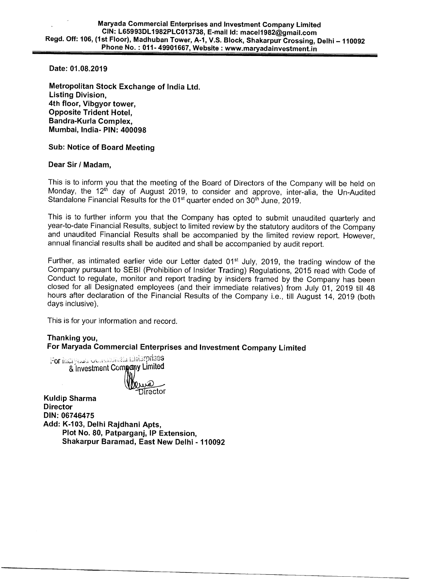**Date: 01.08.2019** 

**Metropolitan Stock Exchange of India Ltd. Listing Division, 4th floor, Vibgyor tower, Opposite Trident Hotel, Bandra-Kurla Complex, Mumbai, India- PIN: 400098** 

## **Sub: Notice of Board Meeting**

## **Dear Sir / Madam,**

This is to inform you that the meeting of the Board of Directors of the Company will be held on Monday, the 12<sup>th</sup> day of August 2019, to consider and approve, inter-alia, the Un-Audited Standalone Financial Results for the  $01<sup>st</sup>$  quarter ended on  $30<sup>th</sup>$  June, 2019.

This is to further inform you that the Company has opted to submit unaudited quarterly and year-to-date Financial Results, subject to limited review by the statutory auditors of the Company and unaudited Financial Results shall be accompanied by the limited review report. However, annual financial results shall be audited and shall be accompanied by audit report.

Further, as intimated earlier vide our Letter dated 01<sup>st</sup> July, 2019, the trading window of the Company pursuant to SEBI (Prohibition of Insider Trading) Regulations, 2015 read with Code of Conduct to regulate, monitor and report trading by insiders framed by the Company has been closed for all Designated employees (and their immediate relatives) from July 01, 2019 till 48 hours after declaration of the Financial Results of the Company i.e., till August 14, 2019 (both days inclusive).

This is for your information and record.

## **Thanking you, For Maryada Commercial Enterprises and Investment Company Limited**

For Maryaal Commercial Linesprises<br>& Investment Company Limited مر<u>یکن</u><br>Tirector

**Kuldip Sharma Director DIN: 06746475 Add: K-103, Delhi Rajdhani Apts, Plot No. 80, Patparganj, IP Extension, Shakarpur Baramad, East New Delhi - 110092**